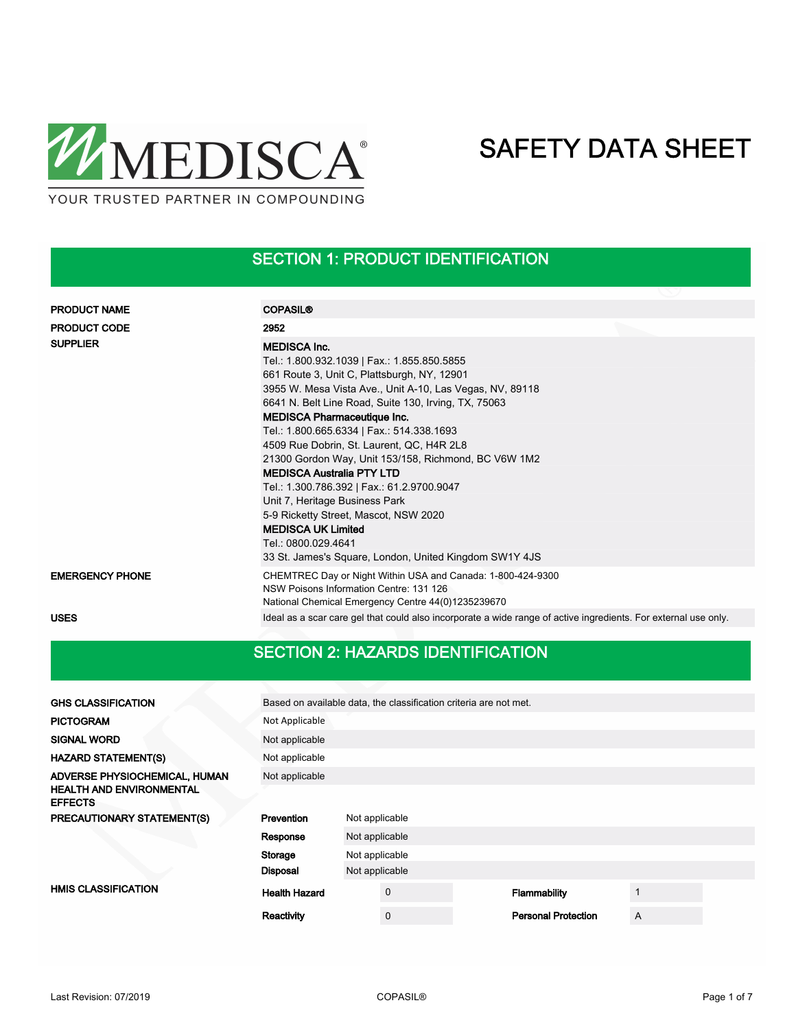

## SECTION 1: PRODUCT IDENTIFICATION

| <b>PRODUCT NAME</b>    | <b>COPASIL®</b>                                                                                                                                                                                                                                                                                                                                                                                                                                                                                                                                                                                                                                                                                          |
|------------------------|----------------------------------------------------------------------------------------------------------------------------------------------------------------------------------------------------------------------------------------------------------------------------------------------------------------------------------------------------------------------------------------------------------------------------------------------------------------------------------------------------------------------------------------------------------------------------------------------------------------------------------------------------------------------------------------------------------|
| <b>PRODUCT CODE</b>    | 2952                                                                                                                                                                                                                                                                                                                                                                                                                                                                                                                                                                                                                                                                                                     |
| <b>SUPPLIER</b>        | <b>MEDISCA Inc.</b><br>Tel.: 1.800.932.1039   Fax.: 1.855.850.5855<br>661 Route 3, Unit C, Plattsburgh, NY, 12901<br>3955 W. Mesa Vista Ave., Unit A-10, Las Vegas, NV, 89118<br>6641 N. Belt Line Road, Suite 130, Irving, TX, 75063<br><b>MEDISCA Pharmaceutique Inc.</b><br>Tel.: 1.800.665.6334   Fax.: 514.338.1693<br>4509 Rue Dobrin, St. Laurent, QC, H4R 2L8<br>21300 Gordon Way, Unit 153/158, Richmond, BC V6W 1M2<br><b>MEDISCA Australia PTY LTD</b><br>Tel.: 1.300.786.392   Fax.: 61.2.9700.9047<br>Unit 7, Heritage Business Park<br>5-9 Ricketty Street, Mascot, NSW 2020<br><b>MEDISCA UK Limited</b><br>Tel.: 0800.029.4641<br>33 St. James's Square, London, United Kingdom SW1Y 4JS |
| <b>EMERGENCY PHONE</b> | CHEMTREC Day or Night Within USA and Canada: 1-800-424-9300<br>NSW Poisons Information Centre: 131 126<br>National Chemical Emergency Centre 44(0)1235239670                                                                                                                                                                                                                                                                                                                                                                                                                                                                                                                                             |
| <b>USES</b>            | Ideal as a scar care gel that could also incorporate a wide range of active ingredients. For external use only.                                                                                                                                                                                                                                                                                                                                                                                                                                                                                                                                                                                          |
|                        |                                                                                                                                                                                                                                                                                                                                                                                                                                                                                                                                                                                                                                                                                                          |

## SECTION 2: HAZARDS IDENTIFICATION

| <b>GHS CLASSIFICATION</b>                         | Based on available data, the classification criteria are not met. |                |             |  |                            |   |  |
|---------------------------------------------------|-------------------------------------------------------------------|----------------|-------------|--|----------------------------|---|--|
| <b>PICTOGRAM</b>                                  | Not Applicable                                                    |                |             |  |                            |   |  |
| <b>SIGNAL WORD</b>                                | Not applicable                                                    |                |             |  |                            |   |  |
| <b>HAZARD STATEMENT(S)</b>                        | Not applicable                                                    |                |             |  |                            |   |  |
| ADVERSE PHYSIOCHEMICAL, HUMAN                     | Not applicable                                                    |                |             |  |                            |   |  |
| <b>HEALTH AND ENVIRONMENTAL</b><br><b>EFFECTS</b> |                                                                   |                |             |  |                            |   |  |
| PRECAUTIONARY STATEMENT(S)                        | Prevention                                                        | Not applicable |             |  |                            |   |  |
|                                                   | Response                                                          | Not applicable |             |  |                            |   |  |
|                                                   | Storage                                                           | Not applicable |             |  |                            |   |  |
|                                                   | <b>Disposal</b>                                                   | Not applicable |             |  |                            |   |  |
| <b>HMIS CLASSIFICATION</b>                        | <b>Health Hazard</b>                                              |                | $\mathbf 0$ |  | Flammability               | 1 |  |
|                                                   | Reactivity                                                        |                | $\mathbf 0$ |  | <b>Personal Protection</b> | A |  |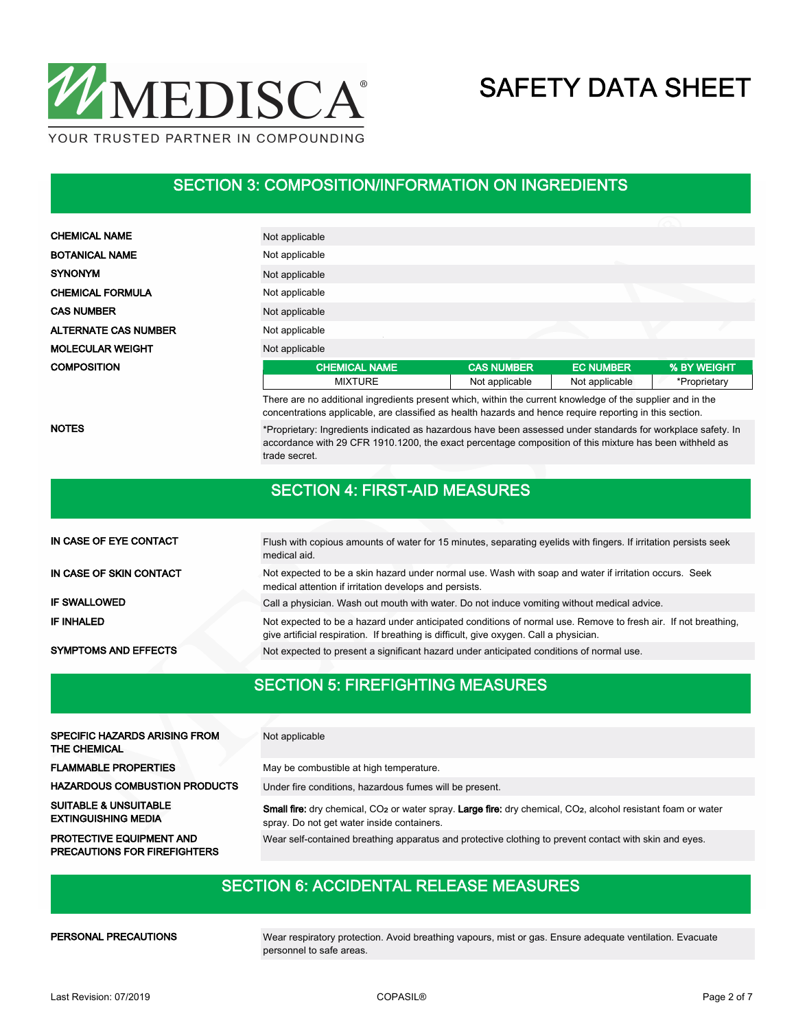

#### SECTION 3: COMPOSITION/INFORMATION ON INGREDIENTS

| <b>CHEMICAL NAME</b>        | Not applicable                                                                                                 |                   |                  |              |
|-----------------------------|----------------------------------------------------------------------------------------------------------------|-------------------|------------------|--------------|
| <b>BOTANICAL NAME</b>       | Not applicable                                                                                                 |                   |                  |              |
| <b>SYNONYM</b>              | Not applicable                                                                                                 |                   |                  |              |
| <b>CHEMICAL FORMULA</b>     | Not applicable                                                                                                 |                   |                  |              |
| <b>CAS NUMBER</b>           | Not applicable                                                                                                 |                   |                  |              |
| <b>ALTERNATE CAS NUMBER</b> | Not applicable                                                                                                 |                   |                  |              |
| <b>MOLECULAR WEIGHT</b>     | Not applicable                                                                                                 |                   |                  |              |
| <b>COMPOSITION</b>          | <b>CHEMICAL NAME</b>                                                                                           | <b>CAS NUMBER</b> | <b>EC NUMBER</b> | % BY WEIGHT  |
|                             | <b>MIXTURE</b>                                                                                                 | Not applicable    | Not applicable   | *Proprietary |
|                             | These are no additional incredictate correct which within the circumstrated related of the compliance district |                   |                  |              |

There are no additional ingredients present which, within the current knowledge of the supplier and in the concentrations applicable, are classified as health hazards and hence require reporting in this section.

NOTES

\*Proprietary: Ingredients indicated as hazardous have been assessed under standards for workplace safety. In accordance with 29 CFR 1910.1200, the exact percentage composition of this mixture has been withheld as trade secret.

#### SECTION 4: FIRST-AID MEASURES

| IN CASE OF EYE CONTACT      | Flush with copious amounts of water for 15 minutes, separating eyelids with fingers. If irritation persists seek<br>medical aid.                                                                         |
|-----------------------------|----------------------------------------------------------------------------------------------------------------------------------------------------------------------------------------------------------|
| IN CASE OF SKIN CONTACT     | Not expected to be a skin hazard under normal use. Wash with soap and water if irritation occurs. Seek<br>medical attention if irritation develops and persists.                                         |
| <b>IF SWALLOWED</b>         | Call a physician. Wash out mouth with water. Do not induce vomiting without medical advice.                                                                                                              |
| IF INHALED                  | Not expected to be a hazard under anticipated conditions of normal use. Remove to fresh air. If not breathing,<br>give artificial respiration. If breathing is difficult, give oxygen. Call a physician. |
| <b>SYMPTOMS AND EFFECTS</b> | Not expected to present a significant hazard under anticipated conditions of normal use.                                                                                                                 |

#### SECTION 5: FIREFIGHTING MEASURES

| <b>SPECIFIC HAZARDS ARISING FROM</b><br><b>THE CHEMICAL</b>            | Not applicable                                                                                                                                                                      |
|------------------------------------------------------------------------|-------------------------------------------------------------------------------------------------------------------------------------------------------------------------------------|
| <b>FLAMMABLE PROPERTIES</b>                                            | May be combustible at high temperature.                                                                                                                                             |
| <b>HAZARDOUS COMBUSTION PRODUCTS</b>                                   | Under fire conditions, hazardous fumes will be present.                                                                                                                             |
| <b>SUITABLE &amp; UNSUITABLE</b><br><b>EXTINGUISHING MEDIA</b>         | Small fire: dry chemical, CO <sub>2</sub> or water spray. Large fire: dry chemical, CO <sub>2</sub> , alcohol resistant foam or water<br>spray. Do not get water inside containers. |
| <b>PROTECTIVE EQUIPMENT AND</b><br><b>PRECAUTIONS FOR FIREFIGHTERS</b> | Wear self-contained breathing apparatus and protective clothing to prevent contact with skin and eyes.                                                                              |

#### SECTION 6: ACCIDENTAL RELEASE MEASURES

PERSONAL PRECAUTIONS

Wear respiratory protection. Avoid breathing vapours, mist or gas. Ensure adequate ventilation. Evacuate personnel to safe areas.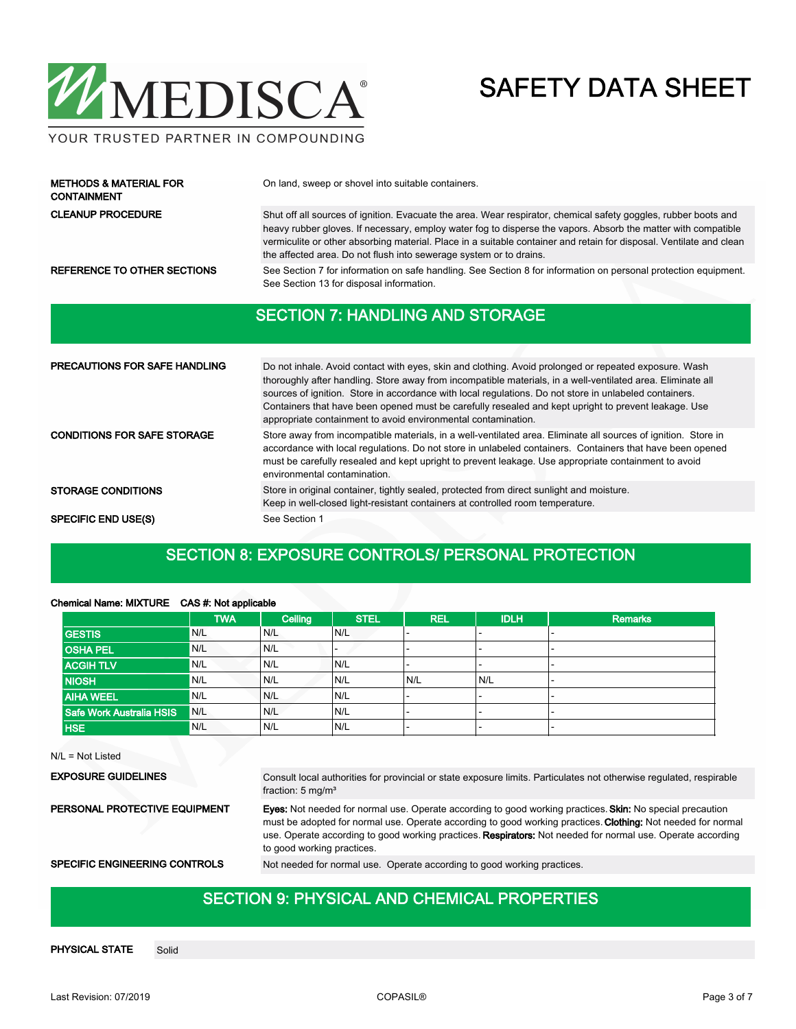

#### YOUR TRUSTED PARTNER IN COMPOUNDING

| <b>METHODS &amp; MATERIAL FOR</b><br><b>CONTAINMENT</b> | On land, sweep or shovel into suitable containers.                                                                                                                                                                                                                                                                                                                                                                            |
|---------------------------------------------------------|-------------------------------------------------------------------------------------------------------------------------------------------------------------------------------------------------------------------------------------------------------------------------------------------------------------------------------------------------------------------------------------------------------------------------------|
| <b>CLEANUP PROCEDURE</b>                                | Shut off all sources of ignition. Evacuate the area. Wear respirator, chemical safety goggles, rubber boots and<br>heavy rubber gloves. If necessary, employ water fog to disperse the vapors. Absorb the matter with compatible<br>vermiculite or other absorbing material. Place in a suitable container and retain for disposal. Ventilate and clean<br>the affected area. Do not flush into sewerage system or to drains. |
| REFERENCE TO OTHER SECTIONS                             | See Section 7 for information on safe handling. See Section 8 for information on personal protection equipment.<br>See Section 13 for disposal information.                                                                                                                                                                                                                                                                   |
|                                                         | <b>SECTION 7: HANDLING AND STORAGE</b>                                                                                                                                                                                                                                                                                                                                                                                        |

| <b>PRECAUTIONS FOR SAFE HANDLING</b> | Do not inhale. Avoid contact with eyes, skin and clothing. Avoid prolonged or repeated exposure. Wash<br>thoroughly after handling. Store away from incompatible materials, in a well-ventilated area. Eliminate all<br>sources of ignition. Store in accordance with local regulations. Do not store in unlabeled containers.<br>Containers that have been opened must be carefully resealed and kept upright to prevent leakage. Use<br>appropriate containment to avoid environmental contamination. |  |
|--------------------------------------|---------------------------------------------------------------------------------------------------------------------------------------------------------------------------------------------------------------------------------------------------------------------------------------------------------------------------------------------------------------------------------------------------------------------------------------------------------------------------------------------------------|--|
|                                      |                                                                                                                                                                                                                                                                                                                                                                                                                                                                                                         |  |

| <b>CONDITIONS FOR SAFE STORAGE</b> | Store away from incompatible materials, in a well-ventilated area. Eliminate all sources of ignition. Store in                                                              |
|------------------------------------|-----------------------------------------------------------------------------------------------------------------------------------------------------------------------------|
|                                    | accordance with local regulations. Do not store in unlabeled containers. Containers that have been opened                                                                   |
|                                    | must be carefully resealed and kept upright to prevent leakage. Use appropriate containment to avoid                                                                        |
|                                    | environmental contamination.                                                                                                                                                |
| <b>STORAGE CONDITIONS</b>          | Store in original container, tightly sealed, protected from direct sunlight and moisture.<br>Keep in well-closed light-resistant containers at controlled room temperature. |

SPECIFIC END USE(S) See Section 1

### SECTION 8: EXPOSURE CONTROLS/ PERSONAL PROTECTION

|                          | <b>TWA</b> | Ceiling | <b>STEL</b> | <b>REL</b> | <b>IDLH</b>              | <b>Remarks</b> |
|--------------------------|------------|---------|-------------|------------|--------------------------|----------------|
| <b>GESTIS</b>            | N/L        | N/L     | N/L         |            |                          |                |
| <b>OSHA PEL</b>          | N/L        | N/L     |             |            | -                        |                |
| <b>ACGIH TLV</b>         | N/L        | N/L     | IN/L        | -          | $\overline{\phantom{0}}$ |                |
| <b>NIOSH</b>             | N/L        | N/L     | N/L         | N/L        | N/L                      |                |
| <b>AIHA WEEL</b>         | N/L        | N/L     | N/L         |            | $\overline{\phantom{0}}$ |                |
| Safe Work Australia HSIS | N/L        | N/L     | N/L         |            |                          |                |
| <b>HSE</b>               | N/L        | N/L     | N/L         |            | -                        |                |
|                          |            |         |             |            |                          |                |

#### Chemical Name: MIXTURE CAS #: Not applicable

| $N/L = Not$ Listed |
|--------------------|
|--------------------|

EXPOSURE GUIDELINES

Consult local authorities for provincial or state exposure limits. Particulates not otherwise regulated, respirable fraction: 5 mg/m<sup>3</sup>

PERSONAL PROTECTIVE EQUIPMENT

Eyes: Not needed for normal use. Operate according to good working practices. Skin: No special precaution must be adopted for normal use. Operate according to good working practices. Clothing: Not needed for normal use. Operate according to good working practices. Respirators: Not needed for normal use. Operate according to good working practices.

SPECIFIC ENGINEERING CONTROLS Not needed for normal use. Operate according to good working practices.

#### SECTION 9: PHYSICAL AND CHEMICAL PROPERTIES

PHYSICAL STATE Solid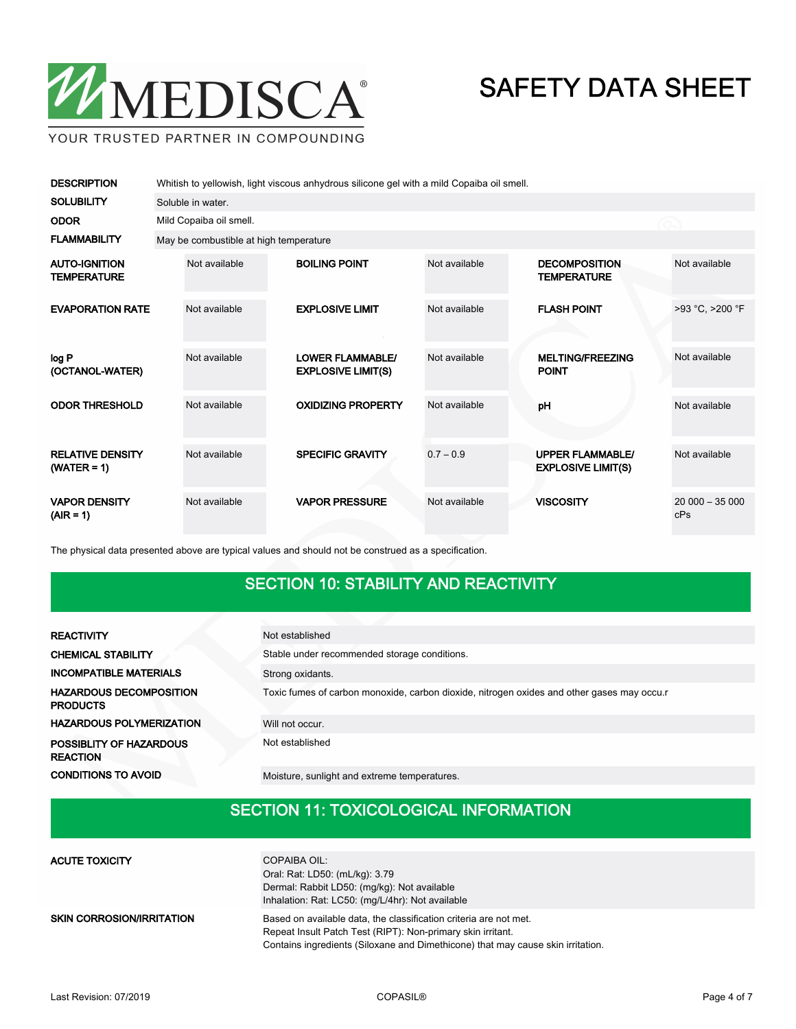

YOUR TRUSTED PARTNER IN COMPOUNDING

| <b>DESCRIPTION</b>                         | Whitish to yellowish, light viscous anhydrous silicone gel with a mild Copaiba oil smell. |                                                      |               |                                                      |                        |  |
|--------------------------------------------|-------------------------------------------------------------------------------------------|------------------------------------------------------|---------------|------------------------------------------------------|------------------------|--|
| <b>SOLUBILITY</b>                          | Soluble in water.                                                                         |                                                      |               |                                                      |                        |  |
| <b>ODOR</b>                                | Mild Copaiba oil smell.                                                                   |                                                      |               |                                                      |                        |  |
| <b>FLAMMABILITY</b>                        |                                                                                           | May be combustible at high temperature               |               |                                                      |                        |  |
| <b>AUTO-IGNITION</b><br><b>TEMPERATURE</b> | Not available                                                                             | <b>BOILING POINT</b>                                 | Not available | <b>DECOMPOSITION</b><br><b>TEMPERATURE</b>           | Not available          |  |
| <b>EVAPORATION RATE</b>                    | Not available                                                                             | <b>EXPLOSIVE LIMIT</b>                               | Not available | <b>FLASH POINT</b>                                   | >93 °C, >200 °F        |  |
| log P<br>(OCTANOL-WATER)                   | Not available                                                                             | <b>LOWER FLAMMABLE/</b><br><b>EXPLOSIVE LIMIT(S)</b> | Not available | <b>MELTING/FREEZING</b><br><b>POINT</b>              | Not available          |  |
| <b>ODOR THRESHOLD</b>                      | Not available                                                                             | <b>OXIDIZING PROPERTY</b>                            | Not available | pH                                                   | Not available          |  |
| <b>RELATIVE DENSITY</b><br>$(WATER = 1)$   | Not available                                                                             | <b>SPECIFIC GRAVITY</b>                              | $0.7 - 0.9$   | <b>UPPER FLAMMABLE/</b><br><b>EXPLOSIVE LIMIT(S)</b> | Not available          |  |
| <b>VAPOR DENSITY</b><br>$(AIR = 1)$        | Not available                                                                             | <b>VAPOR PRESSURE</b>                                | Not available | <b>VISCOSITY</b>                                     | $20000 - 35000$<br>cPs |  |

The physical data presented above are typical values and should not be construed as a specification.

## SECTION 10: STABILITY AND REACTIVITY

| <b>REACTIVITY</b>                                 | Not established                                                                            |
|---------------------------------------------------|--------------------------------------------------------------------------------------------|
| <b>CHEMICAL STABILITY</b>                         | Stable under recommended storage conditions.                                               |
| <b>INCOMPATIBLE MATERIALS</b>                     | Strong oxidants.                                                                           |
| <b>HAZARDOUS DECOMPOSITION</b><br><b>PRODUCTS</b> | Toxic fumes of carbon monoxide, carbon dioxide, nitrogen oxides and other gases may occu.r |
| <b>HAZARDOUS POLYMERIZATION</b>                   | Will not occur.                                                                            |
| POSSIBLITY OF HAZARDOUS<br><b>REACTION</b>        | Not established                                                                            |
|                                                   |                                                                                            |

CONDITIONS TO AVOID Moisture, sunlight and extreme temperatures.

## SECTION 11: TOXICOLOGICAL INFORMATION

| <b>ACUTE TOXICITY</b>            | COPAIBA OIL:<br>Oral: Rat: LD50: (mL/kg): 3.79<br>Dermal: Rabbit LD50: (mg/kg): Not available<br>Inhalation: Rat: LC50: (mg/L/4hr): Not available                                                                   |
|----------------------------------|---------------------------------------------------------------------------------------------------------------------------------------------------------------------------------------------------------------------|
| <b>SKIN CORROSION/IRRITATION</b> | Based on available data, the classification criteria are not met.<br>Repeat Insult Patch Test (RIPT): Non-primary skin irritant.<br>Contains ingredients (Siloxane and Dimethicone) that may cause skin irritation. |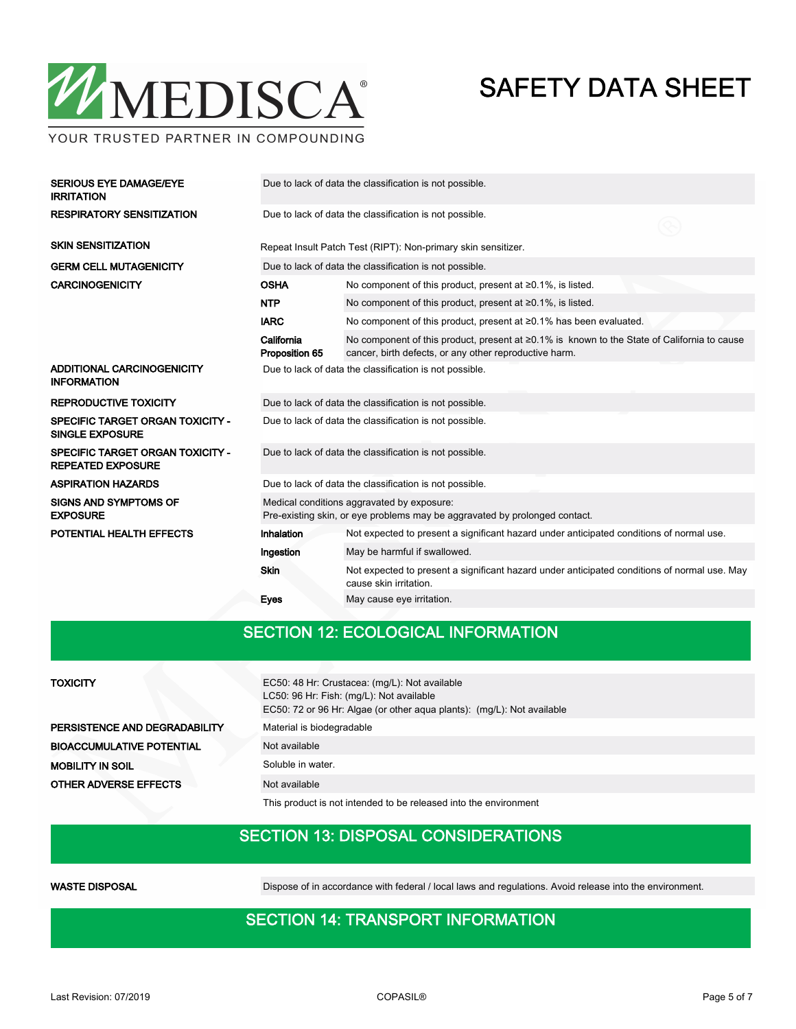

YOUR TRUSTED PARTNER IN COMPOUNDING

| <b>SERIOUS EYE DAMAGE/EYE</b><br><b>IRRITATION</b>                  | Due to lack of data the classification is not possible.                                                                  |                                                                                                                                                       |  |  |  |  |  |
|---------------------------------------------------------------------|--------------------------------------------------------------------------------------------------------------------------|-------------------------------------------------------------------------------------------------------------------------------------------------------|--|--|--|--|--|
| <b>RESPIRATORY SENSITIZATION</b>                                    | Due to lack of data the classification is not possible.                                                                  |                                                                                                                                                       |  |  |  |  |  |
| <b>SKIN SENSITIZATION</b>                                           |                                                                                                                          | Repeat Insult Patch Test (RIPT): Non-primary skin sensitizer.                                                                                         |  |  |  |  |  |
| <b>GERM CELL MUTAGENICITY</b>                                       |                                                                                                                          | Due to lack of data the classification is not possible.                                                                                               |  |  |  |  |  |
| <b>CARCINOGENICITY</b>                                              | <b>OSHA</b>                                                                                                              | No component of this product, present at $\geq 0.1\%$ , is listed.                                                                                    |  |  |  |  |  |
|                                                                     | <b>NTP</b>                                                                                                               | No component of this product, present at $\geq 0.1\%$ , is listed.                                                                                    |  |  |  |  |  |
|                                                                     | <b>IARC</b>                                                                                                              | No component of this product, present at ≥0.1% has been evaluated.                                                                                    |  |  |  |  |  |
|                                                                     | California<br>Proposition 65                                                                                             | No component of this product, present at ≥0.1% is known to the State of California to cause<br>cancer, birth defects, or any other reproductive harm. |  |  |  |  |  |
| ADDITIONAL CARCINOGENICITY<br><b>INFORMATION</b>                    | Due to lack of data the classification is not possible.                                                                  |                                                                                                                                                       |  |  |  |  |  |
| <b>REPRODUCTIVE TOXICITY</b>                                        | Due to lack of data the classification is not possible.                                                                  |                                                                                                                                                       |  |  |  |  |  |
| <b>SPECIFIC TARGET ORGAN TOXICITY -</b><br><b>SINGLE EXPOSURE</b>   | Due to lack of data the classification is not possible.                                                                  |                                                                                                                                                       |  |  |  |  |  |
| <b>SPECIFIC TARGET ORGAN TOXICITY -</b><br><b>REPEATED EXPOSURE</b> | Due to lack of data the classification is not possible.                                                                  |                                                                                                                                                       |  |  |  |  |  |
| <b>ASPIRATION HAZARDS</b>                                           | Due to lack of data the classification is not possible.                                                                  |                                                                                                                                                       |  |  |  |  |  |
| <b>SIGNS AND SYMPTOMS OF</b><br><b>EXPOSURE</b>                     | Medical conditions aggravated by exposure:<br>Pre-existing skin, or eye problems may be aggravated by prolonged contact. |                                                                                                                                                       |  |  |  |  |  |
| POTENTIAL HEALTH EFFECTS                                            | <b>Inhalation</b>                                                                                                        | Not expected to present a significant hazard under anticipated conditions of normal use.                                                              |  |  |  |  |  |
|                                                                     | Ingestion                                                                                                                | May be harmful if swallowed.                                                                                                                          |  |  |  |  |  |
|                                                                     | <b>Skin</b>                                                                                                              | Not expected to present a significant hazard under anticipated conditions of normal use. May<br>cause skin irritation.                                |  |  |  |  |  |
|                                                                     | Eyes                                                                                                                     | May cause eye irritation.                                                                                                                             |  |  |  |  |  |

### SECTION 12: ECOLOGICAL INFORMATION

#### **TOXICITY**

PERSISTENCE AND DEGRADABILITY BIOACCUMULATIVE POTENTIAL **MOBILITY IN SOIL** OTHER ADVERSE EFFECTS

| EC50: 48 Hr: Crustacea: (mg/L): Not available<br>LC50: 96 Hr: Fish: (mg/L): Not available<br>EC50: 72 or 96 Hr: Algae (or other agua plants): (mg/L): Not available |
|---------------------------------------------------------------------------------------------------------------------------------------------------------------------|
| Material is biodegradable                                                                                                                                           |
| Not available                                                                                                                                                       |
| Soluble in water.                                                                                                                                                   |
| Not available                                                                                                                                                       |

This product is not intended to be released into the environment

#### SECTION 13: DISPOSAL CONSIDERATIONS

WASTE DISPOSAL **Dispose of in accordance with federal / local laws and regulations**. Avoid release into the environment.

#### SECTION 14: TRANSPORT INFORMATION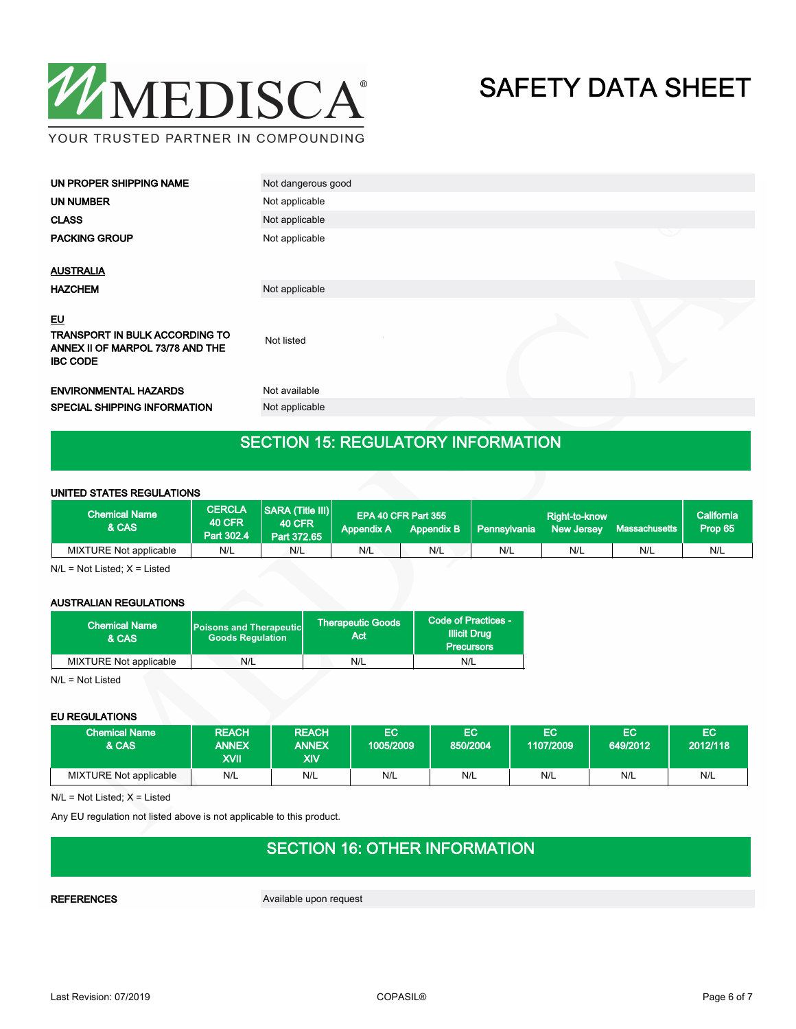

| <b>UN NUMBER</b><br>Not applicable<br>Not applicable<br><b>CLASS</b><br><b>PACKING GROUP</b><br>Not applicable |  |
|----------------------------------------------------------------------------------------------------------------|--|
|                                                                                                                |  |
|                                                                                                                |  |
|                                                                                                                |  |
| <b>AUSTRALIA</b>                                                                                               |  |
| <b>HAZCHEM</b><br>Not applicable                                                                               |  |
| EU<br>TRANSPORT IN BULK ACCORDING TO<br>Not listed<br>ANNEX II OF MARPOL 73/78 AND THE<br><b>IBC CODE</b>      |  |
| Not available<br><b>ENVIRONMENTAL HAZARDS</b>                                                                  |  |
| SPECIAL SHIPPING INFORMATION<br>Not applicable                                                                 |  |

## SECTION 15: REGULATORY INFORMATION

#### UNITED STATES REGULATIONS

| <b>Chemical Name</b><br>& CAS | <b>CERCLA</b><br><b>40 CFR</b><br>Part 302.4 | <b>SARA (Title III)</b><br><b>40 CFR</b><br>Part 372.65 | <b>Appendix A</b> | EPA 40 CFR Part 355<br><b>Appendix B</b> | Pennsylvania | Right-to-know<br><b>New Jersey</b> | Massachusetts | California<br>Prop 65 |
|-------------------------------|----------------------------------------------|---------------------------------------------------------|-------------------|------------------------------------------|--------------|------------------------------------|---------------|-----------------------|
| MIXTURE Not applicable        | N/L                                          | N/L                                                     | N/L               | N/L                                      | N/L          | N/L                                | N/L           | N/L                   |

N/L = Not Listed; X = Listed

#### AUSTRALIAN REGULATIONS

| <b>Chemical Name</b><br>& CAS | <b>Poisons and Therapeutic</b><br><b>Goods Requlation</b> | <b>Therapeutic Goods</b><br>Act | Code of Practices -<br><b>Illicit Drug</b><br><b>Precursors</b> |  |
|-------------------------------|-----------------------------------------------------------|---------------------------------|-----------------------------------------------------------------|--|
| MIXTURE Not applicable        | N/L                                                       | N/L                             | N/L                                                             |  |

N/L = Not Listed

#### EU REGULATIONS

| <b>Chemical Name</b><br>& CAS | <b>REACH</b><br><b>ANNEX</b><br>XVII | <b>REACH</b><br><b>ANNEX</b><br>XIV | EC<br>1005/2009 | EC<br>850/2004 | EC<br>1107/2009 | EC<br>649/2012 | EC<br>2012/118 |
|-------------------------------|--------------------------------------|-------------------------------------|-----------------|----------------|-----------------|----------------|----------------|
| MIXTURE Not applicable        | N/L                                  | N/L                                 | N/L             | N/L            | N/L             | N/L            | N/L            |

N/L = Not Listed; X = Listed

Any EU regulation not listed above is not applicable to this product.

## SECTION 16: OTHER INFORMATION

REFERENCES Available upon request